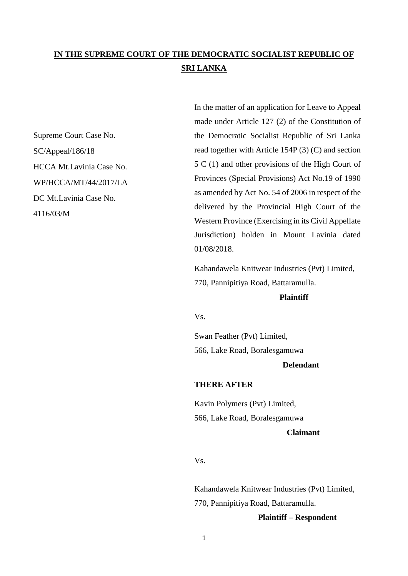# **IN THE SUPREME COURT OF THE DEMOCRATIC SOCIALIST REPUBLIC OF SRI LANKA**

Supreme Court Case No. SC/Appeal/186/18 HCCA Mt.Lavinia Case No. WP/HCCA/MT/44/2017/LA DC Mt.Lavinia Case No. 4116/03/M

In the matter of an application for Leave to Appeal made under Article 127 (2) of the Constitution of the Democratic Socialist Republic of Sri Lanka read together with Article 154P (3) (C) and section 5 C (1) and other provisions of the High Court of Provinces (Special Provisions) Act No.19 of 1990 as amended by Act No. 54 of 2006 in respect of the delivered by the Provincial High Court of the Western Province (Exercising in its Civil Appellate Jurisdiction) holden in Mount Lavinia dated 01/08/2018.

Kahandawela Knitwear Industries (Pvt) Limited, 770, Pannipitiya Road, Battaramulla.

### **Plaintiff**

Vs.

Swan Feather (Pvt) Limited, 566, Lake Road, Boralesgamuwa

## **Defendant**

#### **THERE AFTER**

Kavin Polymers (Pvt) Limited, 566, Lake Road, Boralesgamuwa **Claimant** 

## Vs.

Kahandawela Knitwear Industries (Pvt) Limited, 770, Pannipitiya Road, Battaramulla.

### **Plaintiff – Respondent**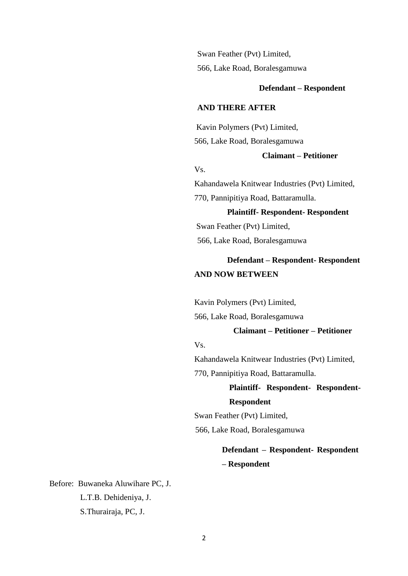Swan Feather (Pvt) Limited, 566, Lake Road, Boralesgamuwa

#### **Defendant – Respondent**

#### **AND THERE AFTER**

Kavin Polymers (Pvt) Limited, 566, Lake Road, Boralesgamuwa

## **Claimant – Petitioner**

## Vs.

Kahandawela Knitwear Industries (Pvt) Limited, 770, Pannipitiya Road, Battaramulla.

 **Plaintiff- Respondent- Respondent**  Swan Feather (Pvt) Limited, 566, Lake Road, Boralesgamuwa

## **Defendant – Respondent- Respondent AND NOW BETWEEN**

Kavin Polymers (Pvt) Limited,

566, Lake Road, Boralesgamuwa

## **Claimant – Petitioner – Petitioner**

## Vs.

Kahandawela Knitwear Industries (Pvt) Limited,

770, Pannipitiya Road, Battaramulla.

# **Plaintiff- Respondent- Respondent-Respondent**

Swan Feather (Pvt) Limited, 566, Lake Road, Boralesgamuwa

# **Defendant – Respondent- Respondent – Respondent**

Before:Buwaneka Aluwihare PC, J. L.T.B. Dehideniya, J. S.Thurairaja, PC, J.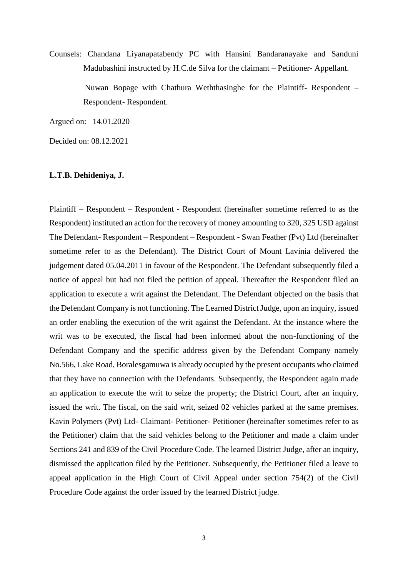Counsels: Chandana Liyanapatabendy PC with Hansini Bandaranayake and Sanduni Madubashini instructed by H.C.de Silva for the claimant – Petitioner- Appellant.

> Nuwan Bopage with Chathura Weththasinghe for the Plaintiff- Respondent – Respondent- Respondent.

Argued on: 14.01.2020

Decided on: 08.12.2021

#### **L.T.B. Dehideniya, J.**

Plaintiff – Respondent – Respondent - Respondent (hereinafter sometime referred to as the Respondent) instituted an action for the recovery of money amounting to 320, 325 USD against The Defendant- Respondent – Respondent – Respondent - Swan Feather (Pvt) Ltd (hereinafter sometime refer to as the Defendant). The District Court of Mount Lavinia delivered the judgement dated 05.04.2011 in favour of the Respondent. The Defendant subsequently filed a notice of appeal but had not filed the petition of appeal. Thereafter the Respondent filed an application to execute a writ against the Defendant. The Defendant objected on the basis that the Defendant Company is not functioning. The Learned District Judge, upon an inquiry, issued an order enabling the execution of the writ against the Defendant. At the instance where the writ was to be executed, the fiscal had been informed about the non-functioning of the Defendant Company and the specific address given by the Defendant Company namely No.566, Lake Road, Boralesgamuwa is already occupied by the present occupants who claimed that they have no connection with the Defendants. Subsequently, the Respondent again made an application to execute the writ to seize the property; the District Court, after an inquiry, issued the writ. The fiscal, on the said writ, seized 02 vehicles parked at the same premises. Kavin Polymers (Pvt) Ltd- Claimant- Petitioner- Petitioner (hereinafter sometimes refer to as the Petitioner) claim that the said vehicles belong to the Petitioner and made a claim under Sections 241 and 839 of the Civil Procedure Code. The learned District Judge, after an inquiry, dismissed the application filed by the Petitioner. Subsequently, the Petitioner filed a leave to appeal application in the High Court of Civil Appeal under section 754(2) of the Civil Procedure Code against the order issued by the learned District judge.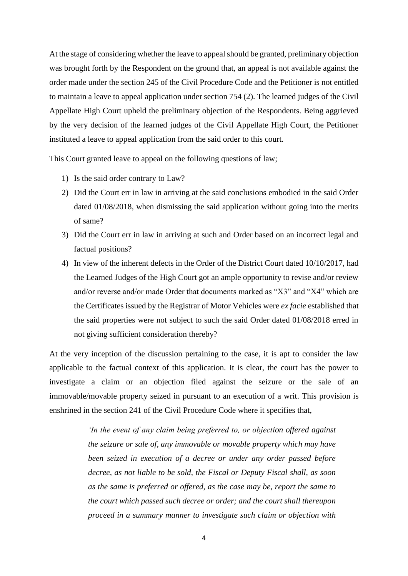At the stage of considering whether the leave to appeal should be granted, preliminary objection was brought forth by the Respondent on the ground that, an appeal is not available against the order made under the section 245 of the Civil Procedure Code and the Petitioner is not entitled to maintain a leave to appeal application under section 754 (2). The learned judges of the Civil Appellate High Court upheld the preliminary objection of the Respondents. Being aggrieved by the very decision of the learned judges of the Civil Appellate High Court, the Petitioner instituted a leave to appeal application from the said order to this court.

This Court granted leave to appeal on the following questions of law;

- 1) Is the said order contrary to Law?
- 2) Did the Court err in law in arriving at the said conclusions embodied in the said Order dated 01/08/2018, when dismissing the said application without going into the merits of same?
- 3) Did the Court err in law in arriving at such and Order based on an incorrect legal and factual positions?
- 4) In view of the inherent defects in the Order of the District Court dated 10/10/2017, had the Learned Judges of the High Court got an ample opportunity to revise and/or review and/or reverse and/or made Order that documents marked as "X3" and "X4" which are the Certificates issued by the Registrar of Motor Vehicles were *ex facie* established that the said properties were not subject to such the said Order dated 01/08/2018 erred in not giving sufficient consideration thereby?

At the very inception of the discussion pertaining to the case, it is apt to consider the law applicable to the factual context of this application. It is clear, the court has the power to investigate a claim or an objection filed against the seizure or the sale of an immovable/movable property seized in pursuant to an execution of a writ. This provision is enshrined in the section 241 of the Civil Procedure Code where it specifies that,

> *'In the event of any claim being preferred to, or objection offered against the seizure or sale of, any immovable or movable property which may have been seized in execution of a decree or under any order passed before decree, as not liable to be sold, the Fiscal or Deputy Fiscal shall, as soon as the same is preferred or offered, as the case may be, report the same to the court which passed such decree or order; and the court shall thereupon proceed in a summary manner to investigate such claim or objection with*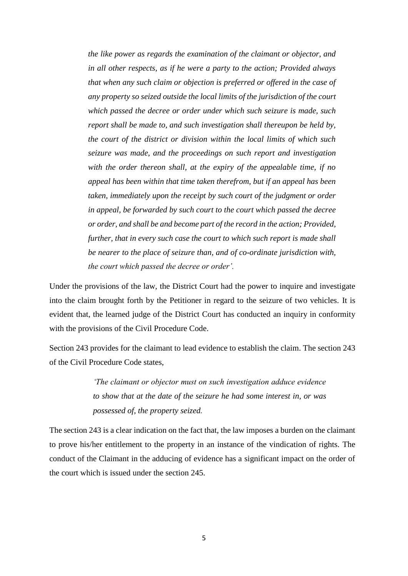*the like power as regards the examination of the claimant or objector, and in all other respects, as if he were a party to the action; Provided always that when any such claim or objection is preferred or offered in the case of any property so seized outside the local limits of the jurisdiction of the court which passed the decree or order under which such seizure is made, such report shall be made to, and such investigation shall thereupon be held by, the court of the district or division within the local limits of which such seizure was made, and the proceedings on such report and investigation with the order thereon shall, at the expiry of the appealable time, if no appeal has been within that time taken therefrom, but if an appeal has been taken, immediately upon the receipt by such court of the judgment or order in appeal, be forwarded by such court to the court which passed the decree or order, and shall be and become part of the record in the action; Provided, further, that in every such case the court to which such report is made shall be nearer to the place of seizure than, and of co-ordinate jurisdiction with, the court which passed the decree or order'.*

Under the provisions of the law, the District Court had the power to inquire and investigate into the claim brought forth by the Petitioner in regard to the seizure of two vehicles. It is evident that, the learned judge of the District Court has conducted an inquiry in conformity with the provisions of the Civil Procedure Code.

Section 243 provides for the claimant to lead evidence to establish the claim. The section 243 of the Civil Procedure Code states,

> *'The claimant or objector must on such investigation adduce evidence to show that at the date of the seizure he had some interest in, or was possessed of, the property seized.*

The section 243 is a clear indication on the fact that, the law imposes a burden on the claimant to prove his/her entitlement to the property in an instance of the vindication of rights. The conduct of the Claimant in the adducing of evidence has a significant impact on the order of the court which is issued under the section 245.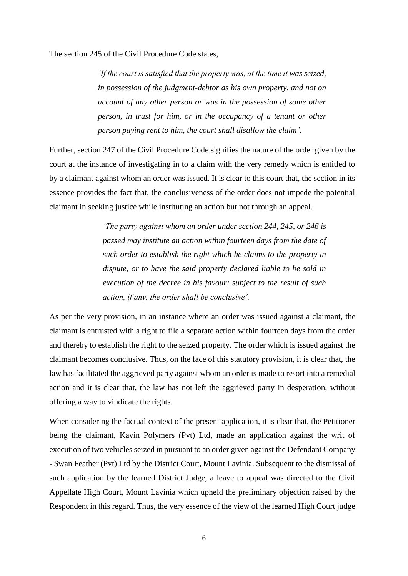The section 245 of the Civil Procedure Code states,

*'If the court is satisfied that the property was, at the time it was seized, in possession of the judgment-debtor as his own property, and not on account of any other person or was in the possession of some other person, in trust for him, or in the occupancy of a tenant or other person paying rent to him, the court shall disallow the claim'*.

Further, section 247 of the Civil Procedure Code signifies the nature of the order given by the court at the instance of investigating in to a claim with the very remedy which is entitled to by a claimant against whom an order was issued. It is clear to this court that, the section in its essence provides the fact that, the conclusiveness of the order does not impede the potential claimant in seeking justice while instituting an action but not through an appeal.

> *'The party against whom an order under section 244, 245, or 246 is passed may institute an action within fourteen days from the date of such order to establish the right which he claims to the property in dispute, or to have the said property declared liable to be sold in execution of the decree in his favour; subject to the result of such action, if any, the order shall be conclusive'.*

As per the very provision, in an instance where an order was issued against a claimant, the claimant is entrusted with a right to file a separate action within fourteen days from the order and thereby to establish the right to the seized property. The order which is issued against the claimant becomes conclusive. Thus, on the face of this statutory provision, it is clear that, the law has facilitated the aggrieved party against whom an order is made to resort into a remedial action and it is clear that, the law has not left the aggrieved party in desperation, without offering a way to vindicate the rights.

When considering the factual context of the present application, it is clear that, the Petitioner being the claimant, Kavin Polymers (Pvt) Ltd, made an application against the writ of execution of two vehicles seized in pursuant to an order given against the Defendant Company - Swan Feather (Pvt) Ltd by the District Court, Mount Lavinia. Subsequent to the dismissal of such application by the learned District Judge, a leave to appeal was directed to the Civil Appellate High Court, Mount Lavinia which upheld the preliminary objection raised by the Respondent in this regard. Thus, the very essence of the view of the learned High Court judge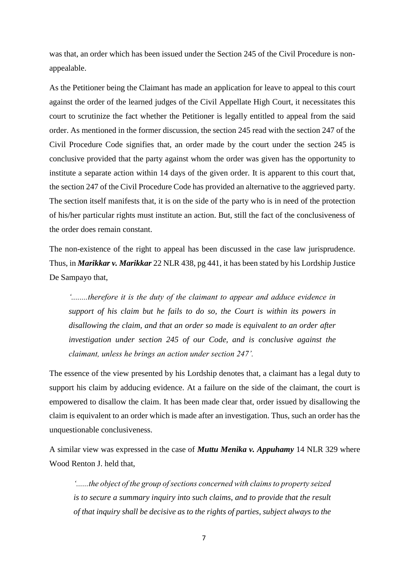was that, an order which has been issued under the Section 245 of the Civil Procedure is nonappealable.

As the Petitioner being the Claimant has made an application for leave to appeal to this court against the order of the learned judges of the Civil Appellate High Court, it necessitates this court to scrutinize the fact whether the Petitioner is legally entitled to appeal from the said order. As mentioned in the former discussion, the section 245 read with the section 247 of the Civil Procedure Code signifies that, an order made by the court under the section 245 is conclusive provided that the party against whom the order was given has the opportunity to institute a separate action within 14 days of the given order. It is apparent to this court that, the section 247 of the Civil Procedure Code has provided an alternative to the aggrieved party. The section itself manifests that, it is on the side of the party who is in need of the protection of his/her particular rights must institute an action. But, still the fact of the conclusiveness of the order does remain constant.

The non-existence of the right to appeal has been discussed in the case law jurisprudence. Thus, in *Marikkar v. Marikkar* 22 NLR 438, pg 441, it has been stated by his Lordship Justice De Sampayo that,

*'........therefore it is the duty of the claimant to appear and adduce evidence in support of his claim but he fails to do so, the Court is within its powers in disallowing the claim, and that an order so made is equivalent to an order after investigation under section 245 of our Code, and is conclusive against the claimant, unless he brings an action under section 247'.*

The essence of the view presented by his Lordship denotes that, a claimant has a legal duty to support his claim by adducing evidence. At a failure on the side of the claimant, the court is empowered to disallow the claim. It has been made clear that, order issued by disallowing the claim is equivalent to an order which is made after an investigation. Thus, such an order has the unquestionable conclusiveness.

A similar view was expressed in the case of *Muttu Menika v. Appuhamy* 14 NLR 329 where Wood Renton J. held that,

*'......the object of the group of sections concerned with claims to property seized is to secure a summary inquiry into such claims, and to provide that the result of that inquiry shall be decisive as to the rights of parties, subject always to the*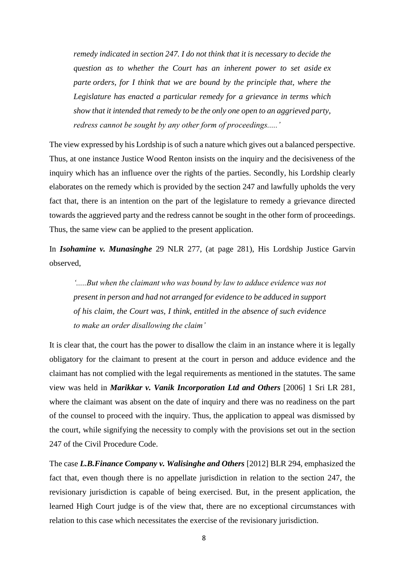*remedy indicated in section 247. I do not think that it is necessary to decide the question as to whether the Court has an inherent power to set aside ex parte orders, for I think that we are bound by the principle that, where the Legislature has enacted a particular remedy for a grievance in terms which show that it intended that remedy to be the only one open to an aggrieved party, redress cannot be sought by any other form of proceedings.....'*

The view expressed by his Lordship is of such a nature which gives out a balanced perspective. Thus, at one instance Justice Wood Renton insists on the inquiry and the decisiveness of the inquiry which has an influence over the rights of the parties. Secondly, his Lordship clearly elaborates on the remedy which is provided by the section 247 and lawfully upholds the very fact that, there is an intention on the part of the legislature to remedy a grievance directed towards the aggrieved party and the redress cannot be sought in the other form of proceedings. Thus, the same view can be applied to the present application.

In *Isohamine v. Munasinghe* 29 NLR 277, (at page 281), His Lordship Justice Garvin observed,

*'.....But when the claimant who was bound by law to adduce evidence was not present in person and had not arranged for evidence to be adduced in support of his claim, the Court was, I think, entitled in the absence of such evidence to make an order disallowing the claim'*

It is clear that, the court has the power to disallow the claim in an instance where it is legally obligatory for the claimant to present at the court in person and adduce evidence and the claimant has not complied with the legal requirements as mentioned in the statutes. The same view was held in *Marikkar v. Vanik Incorporation Ltd and Others* [2006] 1 Sri LR 281, where the claimant was absent on the date of inquiry and there was no readiness on the part of the counsel to proceed with the inquiry. Thus, the application to appeal was dismissed by the court, while signifying the necessity to comply with the provisions set out in the section 247 of the Civil Procedure Code.

The case *L.B.Finance Company v. Walisinghe and Others* [2012] BLR 294, emphasized the fact that, even though there is no appellate jurisdiction in relation to the section 247, the revisionary jurisdiction is capable of being exercised. But, in the present application, the learned High Court judge is of the view that, there are no exceptional circumstances with relation to this case which necessitates the exercise of the revisionary jurisdiction.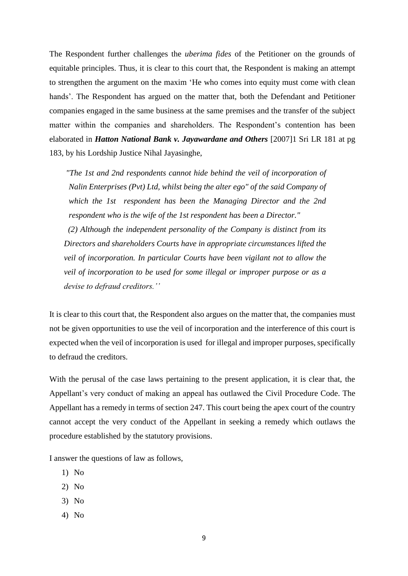The Respondent further challenges the *uberima fides* of the Petitioner on the grounds of equitable principles. Thus, it is clear to this court that, the Respondent is making an attempt to strengthen the argument on the maxim 'He who comes into equity must come with clean hands'. The Respondent has argued on the matter that, both the Defendant and Petitioner companies engaged in the same business at the same premises and the transfer of the subject matter within the companies and shareholders. The Respondent's contention has been elaborated in *Hatton National Bank v. Jayawardane and Others* [2007]1 Sri LR 181 at pg 183, by his Lordship Justice Nihal Jayasinghe,

*"The 1st and 2nd respondents cannot hide behind the veil of incorporation of Nalin Enterprises (Pvt) Ltd, whilst being the alter ego" of the said Company of which the 1st respondent has been the Managing Director and the 2nd respondent who is the wife of the 1st respondent has been a Director."*

 *(2) Although the independent personality of the Company is distinct from its Directors and shareholders Courts have in appropriate circumstances lifted the veil of incorporation. In particular Courts have been vigilant not to allow the veil of incorporation to be used for some illegal or improper purpose or as a devise to defraud creditors.''*

It is clear to this court that, the Respondent also argues on the matter that, the companies must not be given opportunities to use the veil of incorporation and the interference of this court is expected when the veil of incorporation is used for illegal and improper purposes, specifically to defraud the creditors.

With the perusal of the case laws pertaining to the present application, it is clear that, the Appellant's very conduct of making an appeal has outlawed the Civil Procedure Code. The Appellant has a remedy in terms of section 247. This court being the apex court of the country cannot accept the very conduct of the Appellant in seeking a remedy which outlaws the procedure established by the statutory provisions.

I answer the questions of law as follows,

- 1) No
- 2) No
- 3) No
- 4) No